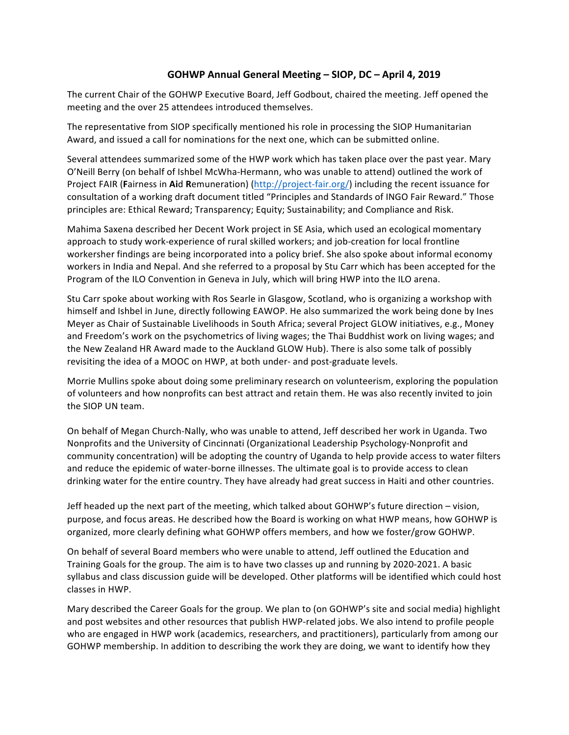## **GOHWP Annual General Meeting – SIOP, DC – April 4, 2019**

The current Chair of the GOHWP Executive Board, Jeff Godbout, chaired the meeting. Jeff opened the meeting and the over 25 attendees introduced themselves.

The representative from SIOP specifically mentioned his role in processing the SIOP Humanitarian Award, and issued a call for nominations for the next one, which can be submitted online.

Several attendees summarized some of the HWP work which has taken place over the past year. Mary O'Neill Berry (on behalf of Ishbel McWha-Hermann, who was unable to attend) outlined the work of Project FAIR (Fairness in Aid Remuneration) (http://project-fair.org/) including the recent issuance for consultation of a working draft document titled "Principles and Standards of INGO Fair Reward." Those principles are: Ethical Reward; Transparency; Equity; Sustainability; and Compliance and Risk.

Mahima Saxena described her Decent Work project in SE Asia, which used an ecological momentary approach to study work-experience of rural skilled workers; and job-creation for local frontline workersher findings are being incorporated into a policy brief. She also spoke about informal economy workers in India and Nepal. And she referred to a proposal by Stu Carr which has been accepted for the Program of the ILO Convention in Geneva in July, which will bring HWP into the ILO arena.

Stu Carr spoke about working with Ros Searle in Glasgow, Scotland, who is organizing a workshop with himself and Ishbel in June, directly following EAWOP. He also summarized the work being done by Ines Meyer as Chair of Sustainable Livelihoods in South Africa; several Project GLOW initiatives, e.g., Money and Freedom's work on the psychometrics of living wages; the Thai Buddhist work on living wages; and the New Zealand HR Award made to the Auckland GLOW Hub). There is also some talk of possibly revisiting the idea of a MOOC on HWP, at both under- and post-graduate levels.

Morrie Mullins spoke about doing some preliminary research on volunteerism, exploring the population of volunteers and how nonprofits can best attract and retain them. He was also recently invited to join the SIOP UN team.

On behalf of Megan Church-Nally, who was unable to attend, Jeff described her work in Uganda. Two Nonprofits and the University of Cincinnati (Organizational Leadership Psychology-Nonprofit and community concentration) will be adopting the country of Uganda to help provide access to water filters and reduce the epidemic of water-borne illnesses. The ultimate goal is to provide access to clean drinking water for the entire country. They have already had great success in Haiti and other countries.

Jeff headed up the next part of the meeting, which talked about GOHWP's future direction – vision, purpose, and focus areas. He described how the Board is working on what HWP means, how GOHWP is organized, more clearly defining what GOHWP offers members, and how we foster/grow GOHWP.

On behalf of several Board members who were unable to attend, Jeff outlined the Education and Training Goals for the group. The aim is to have two classes up and running by 2020-2021. A basic syllabus and class discussion guide will be developed. Other platforms will be identified which could host classes in HWP.

Mary described the Career Goals for the group. We plan to (on GOHWP's site and social media) highlight and post websites and other resources that publish HWP-related jobs. We also intend to profile people who are engaged in HWP work (academics, researchers, and practitioners), particularly from among our GOHWP membership. In addition to describing the work they are doing, we want to identify how they